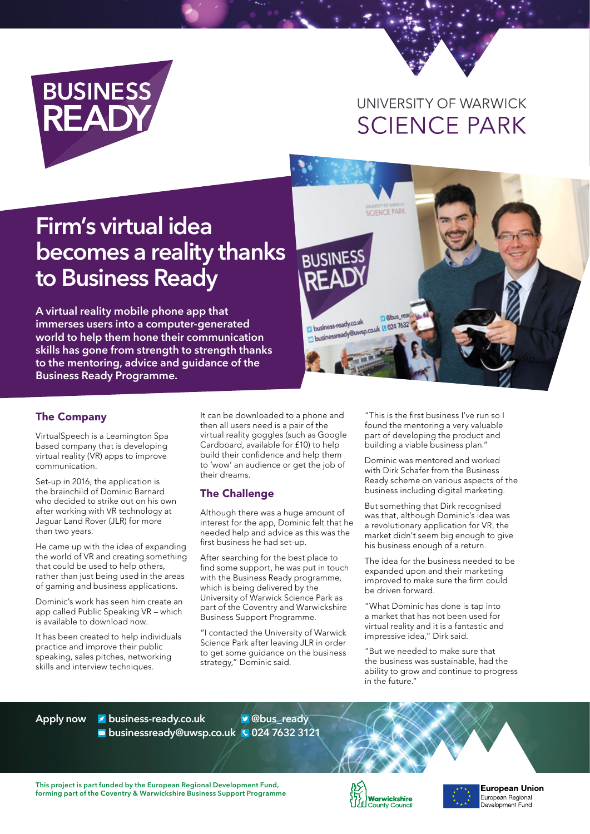

## UNIVERSITY OF WARWICK **SCIENCE PARK**

# **Firm's virtual idea becomes a reality thanks to Business Ready**

**A virtual reality mobile phone app that immerses users into a computer-generated world to help them hone their communication skills has gone from strength to strength thanks to the mentoring, advice and guidance of the Business Ready Programme.**

SCIENCE PARK **BUSINES** rabus rea business-ready.co.uk business-ready.co.uk<br>
Dibusinessready@uwsp.co.uk 30247632

#### The Company

VirtualSpeech is a Leamington Spa based company that is developing virtual reality (VR) apps to improve communication.

Set-up in 2016, the application is the brainchild of Dominic Barnard who decided to strike out on his own after working with VR technology at Jaguar Land Rover (JLR) for more than two years.

He came up with the idea of expanding the world of VR and creating something that could be used to help others, rather than just being used in the areas of gaming and business applications.

Dominic's work has seen him create an app called Public Speaking VR – which is available to download now.

It has been created to help individuals practice and improve their public speaking, sales pitches, networking skills and interview techniques.

It can be downloaded to a phone and then all users need is a pair of the virtual reality goggles (such as Google Cardboard, available for £10) to help build their confidence and help them to 'wow' an audience or get the job of their dreams.

#### The Challenge

Although there was a huge amount of interest for the app, Dominic felt that he needed help and advice as this was the first business he had set-up.

After searching for the best place to find some support, he was put in touch with the Business Ready programme, which is being delivered by the University of Warwick Science Park as part of the Coventry and Warwickshire Business Support Programme.

"I contacted the University of Warwick Science Park after leaving JLR in order to get some guidance on the business strategy," Dominic said.

"This is the first business I've run so I found the mentoring a very valuable part of developing the product and building a viable business plan."

Dominic was mentored and worked with Dirk Schafer from the Business Ready scheme on various aspects of the business including digital marketing.

But something that Dirk recognised was that, although Dominic's idea was a revolutionary application for VR, the market didn't seem big enough to give his business enough of a return.

The idea for the business needed to be expanded upon and their marketing improved to make sure the firm could be driven forward.

"What Dominic has done is tap into a market that has not been used for virtual reality and it is a fantastic and impressive idea," Dirk said.

"But we needed to make sure that the business was sustainable, had the ability to grow and continue to progress in the future."

**Apply now business-ready.co.uk businessready@uwsp.co.uk 024 7632 3121 @bus\_ready**

**This project is part funded by the European Regional Development Fund, forming part of the Coventry & Warwickshire Business Support Programme**